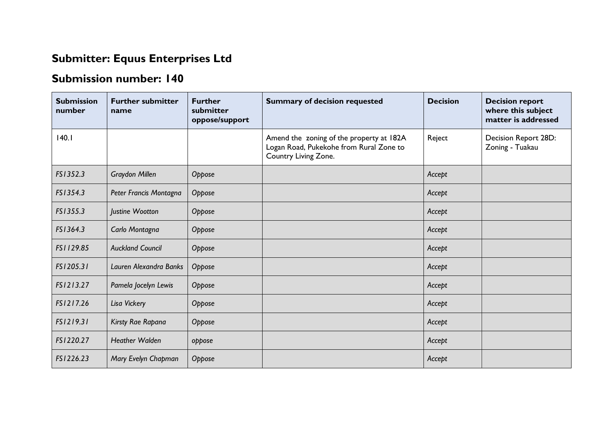## **Submitter: Equus Enterprises Ltd**

## **Submission number: 140**

| <b>Submission</b><br>number | <b>Further submitter</b><br>name | <b>Further</b><br>submitter<br>oppose/support | <b>Summary of decision requested</b>                                                                        | <b>Decision</b> | <b>Decision report</b><br>where this subject<br>matter is addressed |
|-----------------------------|----------------------------------|-----------------------------------------------|-------------------------------------------------------------------------------------------------------------|-----------------|---------------------------------------------------------------------|
| 140.1                       |                                  |                                               | Amend the zoning of the property at 182A<br>Logan Road, Pukekohe from Rural Zone to<br>Country Living Zone. | Reject          | Decision Report 28D:<br>Zoning - Tuakau                             |
| FS1352.3                    | <b>Graydon Millen</b>            | Oppose                                        |                                                                                                             | Accept          |                                                                     |
| FS1354.3                    | Peter Francis Montagna           | Oppose                                        |                                                                                                             | Accept          |                                                                     |
| FS1355.3                    | Justine Wootton                  | Oppose                                        |                                                                                                             | Accept          |                                                                     |
| FS1364.3                    | Carlo Montagna                   | Oppose                                        |                                                                                                             | Accept          |                                                                     |
| FS1129.85                   | <b>Auckland Council</b>          | Oppose                                        |                                                                                                             | Accept          |                                                                     |
| FS1205.31                   | Lauren Alexandra Banks           | Oppose                                        |                                                                                                             | Accept          |                                                                     |
| FS1213.27                   | Pamela Jocelyn Lewis             | Oppose                                        |                                                                                                             | Accept          |                                                                     |
| FS1217.26                   | Lisa Vickery                     | Oppose                                        |                                                                                                             | Accept          |                                                                     |
| FS1219.31                   | Kirsty Rae Rapana                | Oppose                                        |                                                                                                             | Accept          |                                                                     |
| FS1220.27                   | <b>Heather Walden</b>            | oppose                                        |                                                                                                             | Accept          |                                                                     |
| FS1226.23                   | Mary Evelyn Chapman              | Oppose                                        |                                                                                                             | Accept          |                                                                     |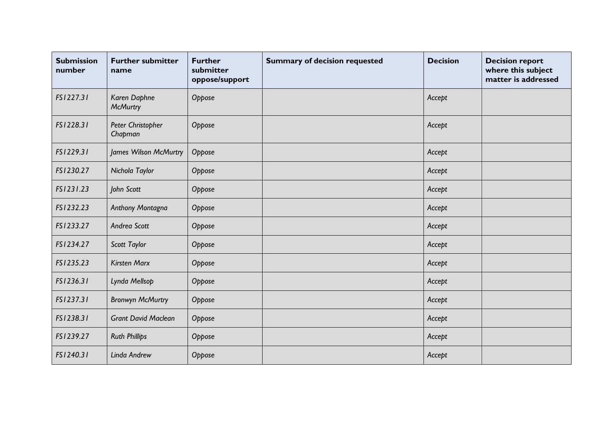| <b>Submission</b><br>number | <b>Further submitter</b><br>name | <b>Further</b><br>submitter<br>oppose/support | <b>Summary of decision requested</b> | <b>Decision</b> | <b>Decision report</b><br>where this subject<br>matter is addressed |
|-----------------------------|----------------------------------|-----------------------------------------------|--------------------------------------|-----------------|---------------------------------------------------------------------|
| FS1227.31                   | Karen Daphne<br><b>McMurtry</b>  | Oppose                                        |                                      | Accept          |                                                                     |
| FS1228.31                   | Peter Christopher<br>Chapman     | Oppose                                        |                                      | Accept          |                                                                     |
| FS1229.31                   | James Wilson McMurtry            | Oppose                                        |                                      | Accept          |                                                                     |
| FS1230.27                   | Nichola Taylor                   | Oppose                                        |                                      | Accept          |                                                                     |
| FS1231.23                   | John Scott                       | Oppose                                        |                                      | Accept          |                                                                     |
| FS1232.23                   | Anthony Montagna                 | Oppose                                        |                                      | Accept          |                                                                     |
| FS1233.27                   | Andrea Scott                     | Oppose                                        |                                      | Accept          |                                                                     |
| FS1234.27                   | Scott Taylor                     | Oppose                                        |                                      | Accept          |                                                                     |
| FS1235.23                   | <b>Kirsten Marx</b>              | Oppose                                        |                                      | Accept          |                                                                     |
| FS1236.31                   | Lynda Mellsop                    | Oppose                                        |                                      | Accept          |                                                                     |
| FS1237.31                   | <b>Bronwyn McMurtry</b>          | Oppose                                        |                                      | Accept          |                                                                     |
| FS1238.31                   | <b>Grant David Maclean</b>       | Oppose                                        |                                      | Accept          |                                                                     |
| FS1239.27                   | <b>Ruth Phillips</b>             | Oppose                                        |                                      | Accept          |                                                                     |
| FS1240.31                   | Linda Andrew                     | Oppose                                        |                                      | Accept          |                                                                     |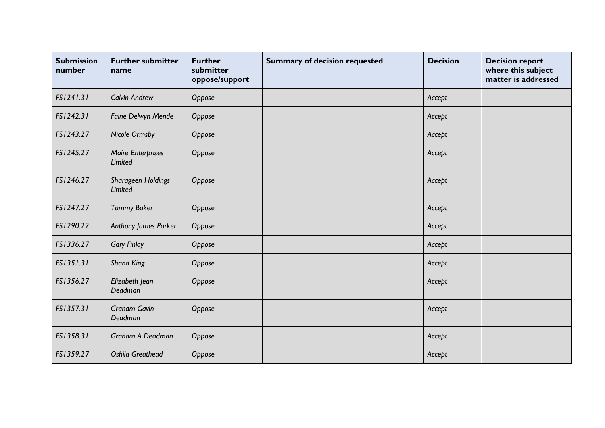| <b>Submission</b><br>number | <b>Further submitter</b><br>name     | <b>Further</b><br>submitter<br>oppose/support | <b>Summary of decision requested</b> | <b>Decision</b> | <b>Decision report</b><br>where this subject<br>matter is addressed |
|-----------------------------|--------------------------------------|-----------------------------------------------|--------------------------------------|-----------------|---------------------------------------------------------------------|
| FS1241.31                   | <b>Calvin Andrew</b>                 | Oppose                                        |                                      | Accept          |                                                                     |
| FS1242.31                   | Faine Delwyn Mende                   | Oppose                                        |                                      | Accept          |                                                                     |
| FS1243.27                   | Nicole Ormsby                        | Oppose                                        |                                      | Accept          |                                                                     |
| FS1245.27                   | <b>Maire Enterprises</b><br>Limited  | Oppose                                        |                                      | Accept          |                                                                     |
| FS1246.27                   | Sharageen Holdings<br><b>Limited</b> | Oppose                                        |                                      | Accept          |                                                                     |
| FS1247.27                   | <b>Tammy Baker</b>                   | Oppose                                        |                                      | Accept          |                                                                     |
| FS1290.22                   | Anthony James Parker                 | Oppose                                        |                                      | Accept          |                                                                     |
| FS1336.27                   | <b>Gary Finlay</b>                   | Oppose                                        |                                      | Accept          |                                                                     |
| FS1351.31                   | Shana King                           | Oppose                                        |                                      | Accept          |                                                                     |
| FS1356.27                   | Elizabeth Jean<br>Deadman            | Oppose                                        |                                      | Accept          |                                                                     |
| FS1357.31                   | <b>Graham Gavin</b><br>Deadman       | Oppose                                        |                                      | Accept          |                                                                     |
| FS1358.31                   | Graham A Deadman                     | Oppose                                        |                                      | Accept          |                                                                     |
| FS1359.27                   | <b>Oshila Greathead</b>              | Oppose                                        |                                      | Accept          |                                                                     |